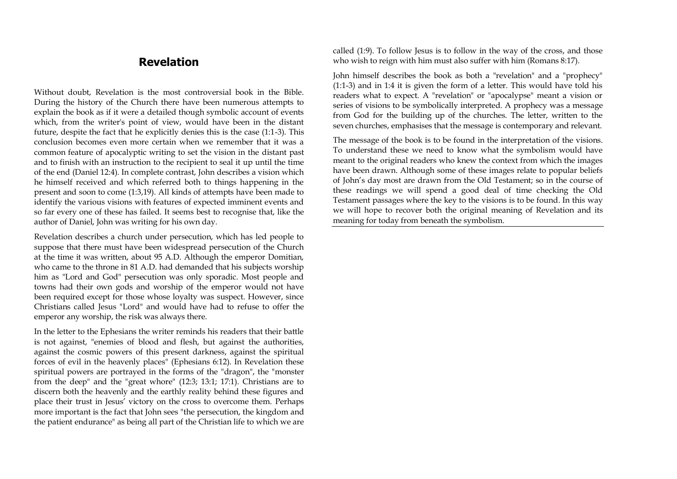# **Revelation**

Without doubt, Revelation is the most controversial book in the Bible. During the history of the Church there have been numerous attempts to explain the book as if it were a detailed though symbolic account of events which, from the writer's point of view, would have been in the distant future, despite the fact that he explicitly denies this is the case (1:1-3). This conclusion becomes even more certain when we remember that it was a common feature of apocalyptic writing to set the vision in the distant past and to finish with an instruction to the recipient to seal it up until the time of the end (Daniel 12:4). In complete contrast, John describes a vision which he himself received and which referred both to things happening in the present and soon to come (1:3,19). All kinds of attempts have been made to identify the various visions with features of expected imminent events and so far every one of these has failed. It seems best to recognise that, like the author of Daniel, John was writing for his own day.

Revelation describes a church under persecution, which has led people to suppose that there must have been widespread persecution of the Church at the time it was written, about 95 A.D. Although the emperor Domitian, who came to the throne in 81 A.D. had demanded that his subjects worship him as "Lord and God" persecution was only sporadic. Most people and towns had their own gods and worship of the emperor would not have been required except for those whose loyalty was suspect. However, since Christians called Jesus "Lord" and would have had to refuse to offer the emperor any worship, the risk was always there.

In the letter to the Ephesians the writer reminds his readers that their battle is not against, "enemies of blood and flesh, but against the authorities, against the cosmic powers of this present darkness, against the spiritual forces of evil in the heavenly places" (Ephesians 6:12). In Revelation these spiritual powers are portrayed in the forms of the "dragon", the "monster from the deep" and the "great whore" (12:3; 13:1; 17:1). Christians are to discern both the heavenly and the earthly reality behind these figures and place their trust in Jesus' victory on the cross to overcome them. Perhaps more important is the fact that John sees "the persecution, the kingdom and the patient endurance" as being all part of the Christian life to which we are called (1:9). To follow Jesus is to follow in the way of the cross, and those who wish to reign with him must also suffer with him (Romans 8:17).

John himself describes the book as both a "revelation" and a "prophecy" (1:1-3) and in 1:4 it is given the form of a letter. This would have told his readers what to expect. A "revelation" or "apocalypse" meant a vision or series of visions to be symbolically interpreted. A prophecy was a message from God for the building up of the churches. The letter, written to the seven churches, emphasises that the message is contemporary and relevant.

The message of the book is to be found in the interpretation of the visions. To understand these we need to know what the symbolism would have meant to the original readers who knew the context from which the images have been drawn. Although some of these images relate to popular beliefs of John's day most are drawn from the Old Testament; so in the course of these readings we will spend a good deal of time checking the Old Testament passages where the key to the visions is to be found. In this way we will hope to recover both the original meaning of Revelation and its meaning for today from beneath the symbolism.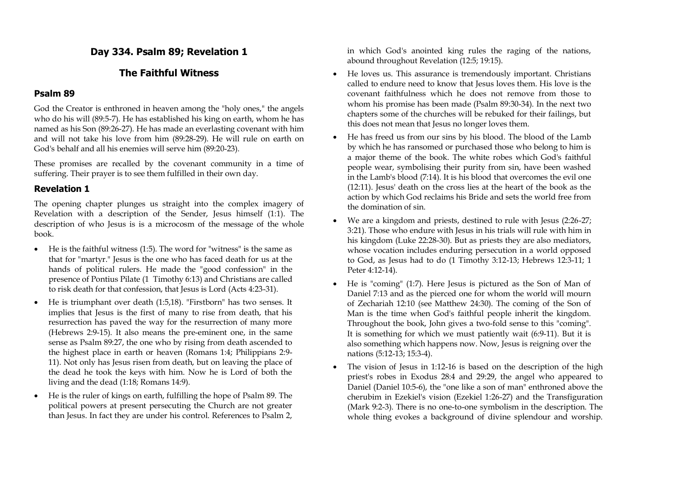# **Day 334. Psalm 89; Revelation 1**

# **The Faithful Witness**

### **Psalm 89**

God the Creator is enthroned in heaven among the "holy ones," the angels who do his will (89:5-7). He has established his king on earth, whom he has named as his Son (89:26-27). He has made an everlasting covenant with him and will not take his love from him (89:28-29). He will rule on earth on God's behalf and all his enemies will serve him (89:20-23).

These promises are recalled by the covenant community in a time of suffering. Their prayer is to see them fulfilled in their own day.

# **Revelation 1**

The opening chapter plunges us straight into the complex imagery of Revelation with a description of the Sender, Jesus himself (1:1). The description of who Jesus is is a microcosm of the message of the whole book.

- $\bullet$  He is the faithful witness (1:5). The word for "witness" is the same as that for "martyr." Jesus is the one who has faced death for us at the hands of political rulers. He made the "good confession" in the presence of Pontius Pilate (1 Timothy 6:13) and Christians are called to risk death for that confession, that Jesus is Lord (Acts 4:23-31).
- He is triumphant over death (1:5,18). "Firstborn" has two senses. It implies that Jesus is the first of many to rise from death, that his resurrection has paved the way for the resurrection of many more (Hebrews 2:9-15). It also means the pre-eminent one, in the same sense as Psalm 89:27, the one who by rising from death ascended to the highest place in earth or heaven (Romans 1:4; Philippians 2:9- 11). Not only has Jesus risen from death, but on leaving the place of the dead he took the keys with him. Now he is Lord of both the living and the dead (1:18; Romans 14:9).
- He is the ruler of kings on earth, fulfilling the hope of Psalm 89. The political powers at present persecuting the Church are not greater than Jesus. In fact they are under his control. References to Psalm 2,

in which God's anointed king rules the raging of the nations, abound throughout Revelation (12:5; 19:15).

- He loves us. This assurance is tremendously important. Christians called to endure need to know that Jesus loves them. His love is the covenant faithfulness which he does not remove from those to whom his promise has been made (Psalm 89:30-34). In the next two chapters some of the churches will be rebuked for their failings, but this does not mean that Jesus no longer loves them.
- He has freed us from our sins by his blood. The blood of the Lamb by which he has ransomed or purchased those who belong to him is a major theme of the book. The white robes which God's faithful people wear, symbolising their purity from sin, have been washed in the Lamb's blood (7:14). It is his blood that overcomes the evil one (12:11). Jesus' death on the cross lies at the heart of the book as the action by which God reclaims his Bride and sets the world free from the domination of sin.
- We are a kingdom and priests, destined to rule with Jesus (2:26-27; 3:21). Those who endure with Jesus in his trials will rule with him in his kingdom (Luke 22:28-30). But as priests they are also mediators, whose vocation includes enduring persecution in a world opposed to God, as Jesus had to do (1 Timothy 3:12-13; Hebrews 12:3-11; 1 Peter 4:12-14).
- He is "coming" (1:7). Here Jesus is pictured as the Son of Man of Daniel 7:13 and as the pierced one for whom the world will mourn of Zechariah 12:10 (see Matthew 24:30). The coming of the Son of Man is the time when God's faithful people inherit the kingdom. Throughout the book, John gives a two-fold sense to this "coming". It is something for which we must patiently wait (6:9-11). But it is also something which happens now. Now, Jesus is reigning over the nations (5:12-13; 15:3-4).
- The vision of Jesus in 1:12-16 is based on the description of the high priest's robes in Exodus 28:4 and 29:29, the angel who appeared to Daniel (Daniel 10:5-6), the "one like a son of man" enthroned above the cherubim in Ezekiel's vision (Ezekiel 1:26-27) and the Transfiguration (Mark 9:2-3). There is no one-to-one symbolism in the description. The whole thing evokes a background of divine splendour and worship.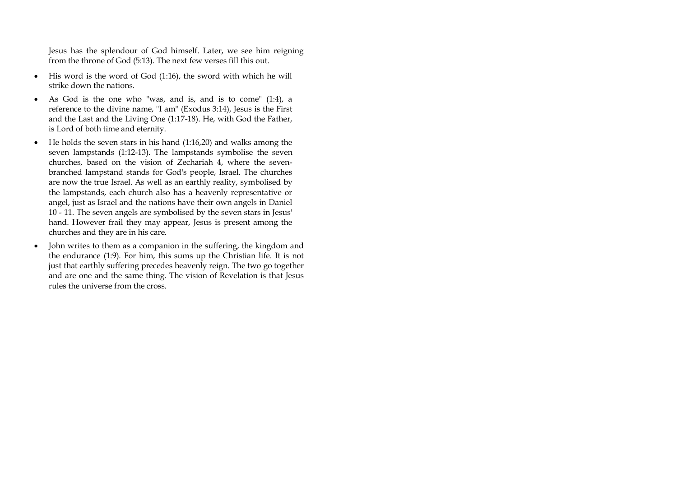Jesus has the splendour of God himself. Later, we see him reigning from the throne of God (5:13). The next few verses fill this out.

- $\bullet$  His word is the word of God (1:16), the sword with which he will strike down the nations.
- As God is the one who "was, and is, and is to come" (1:4), a reference to the divine name, "I am" (Exodus 3:14), Jesus is the First and the Last and the Living One (1:17-18). He, with God the Father, is Lord of both time and eternity.
- $\bullet$  He holds the seven stars in his hand (1:16,20) and walks among the seven lampstands (1:12-13). The lampstands symbolise the seven churches, based on the vision of Zechariah 4, where the sevenbranched lampstand stands for God's people, Israel. The churches are now the true Israel. As well as an earthly reality, symbolised by the lampstands, each church also has a heavenly representative or angel, just as Israel and the nations have their own angels in Daniel 10 - 11. The seven angels are symbolised by the seven stars in Jesus' hand. However frail they may appear, Jesus is present among the churches and they are in his care.
- John writes to them as a companion in the suffering, the kingdom and the endurance (1:9). For him, this sums up the Christian life. It is not just that earthly suffering precedes heavenly reign. The two go together and are one and the same thing. The vision of Revelation is that Jesus rules the universe from the cross.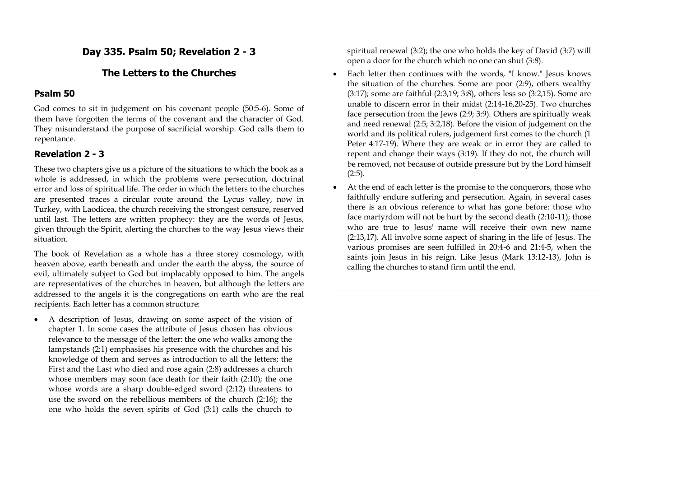## **Day 335. Psalm 50; Revelation 2 - 3**

### **The Letters to the Churches**

#### **Psalm 50**

God comes to sit in judgement on his covenant people (50:5-6). Some of them have forgotten the terms of the covenant and the character of God. They misunderstand the purpose of sacrificial worship. God calls them to repentance.

#### **Revelation 2 - 3**

These two chapters give us a picture of the situations to which the book as a whole is addressed, in which the problems were persecution, doctrinal error and loss of spiritual life. The order in which the letters to the churches are presented traces a circular route around the Lycus valley, now in Turkey, with Laodicea, the church receiving the strongest censure, reserved until last. The letters are written prophecy: they are the words of Jesus, given through the Spirit, alerting the churches to the way Jesus views their situation.

The book of Revelation as a whole has a three storey cosmology, with heaven above, earth beneath and under the earth the abyss, the source of evil, ultimately subject to God but implacably opposed to him. The angels are representatives of the churches in heaven, but although the letters are addressed to the angels it is the congregations on earth who are the real recipients. Each letter has a common structure:

 A description of Jesus, drawing on some aspect of the vision of chapter 1. In some cases the attribute of Jesus chosen has obvious relevance to the message of the letter: the one who walks among the lampstands (2:1) emphasises his presence with the churches and his knowledge of them and serves as introduction to all the letters; the First and the Last who died and rose again (2:8) addresses a church whose members may soon face death for their faith (2:10); the one whose words are a sharp double-edged sword (2:12) threatens to use the sword on the rebellious members of the church (2:16); the one who holds the seven spirits of God (3:1) calls the church to

spiritual renewal (3:2); the one who holds the key of David (3:7) will open a door for the church which no one can shut (3:8).

- Each letter then continues with the words, "I know." Jesus knows the situation of the churches. Some are poor (2:9), others wealthy (3:17); some are faithful (2:3,19; 3:8), others less so (3:2,15). Some are unable to discern error in their midst (2:14-16,20-25). Two churches face persecution from the Jews (2:9; 3:9). Others are spiritually weak and need renewal (2:5; 3:2,18). Before the vision of judgement on the world and its political rulers, judgement first comes to the church (1 Peter 4:17-19). Where they are weak or in error they are called to repent and change their ways (3:19). If they do not, the church will be removed, not because of outside pressure but by the Lord himself  $(2:5).$
- At the end of each letter is the promise to the conquerors, those who faithfully endure suffering and persecution. Again, in several cases there is an obvious reference to what has gone before: those who face martyrdom will not be hurt by the second death (2:10-11); those who are true to Jesus' name will receive their own new name (2:13,17). All involve some aspect of sharing in the life of Jesus. The various promises are seen fulfilled in 20:4-6 and 21:4-5, when the saints join Jesus in his reign. Like Jesus (Mark 13:12-13), John is calling the churches to stand firm until the end.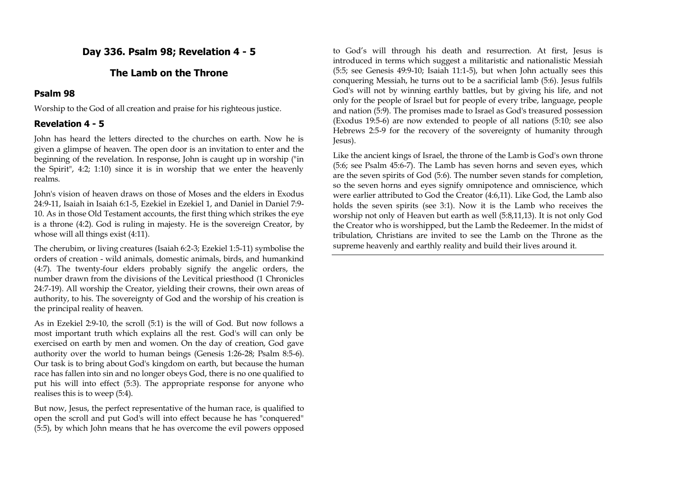# **Day 336. Psalm 98; Revelation 4 - 5**

# **The Lamb on the Throne**

### **Psalm 98**

Worship to the God of all creation and praise for his righteous justice.

## **Revelation 4 - 5**

John has heard the letters directed to the churches on earth. Now he is given a glimpse of heaven. The open door is an invitation to enter and the beginning of the revelation. In response, John is caught up in worship ("in the Spirit", 4:2; 1:10) since it is in worship that we enter the heavenly realms.

John's vision of heaven draws on those of Moses and the elders in Exodus 24:9-11, Isaiah in Isaiah 6:1-5, Ezekiel in Ezekiel 1, and Daniel in Daniel 7:9- 10. As in those Old Testament accounts, the first thing which strikes the eye is a throne (4:2). God is ruling in majesty. He is the sovereign Creator, by whose will all things exist (4:11).

The cherubim, or living creatures (Isaiah 6:2-3; Ezekiel 1:5-11) symbolise the orders of creation - wild animals, domestic animals, birds, and humankind (4:7). The twenty-four elders probably signify the angelic orders, the number drawn from the divisions of the Levitical priesthood (1 Chronicles 24:7-19). All worship the Creator, yielding their crowns, their own areas of authority, to his. The sovereignty of God and the worship of his creation is the principal reality of heaven.

As in Ezekiel 2:9-10, the scroll (5:1) is the will of God. But now follows a most important truth which explains all the rest. God's will can only be exercised on earth by men and women. On the day of creation, God gave authority over the world to human beings (Genesis 1:26-28; Psalm 8:5-6). Our task is to bring about God's kingdom on earth, but because the human race has fallen into sin and no longer obeys God, there is no one qualified to put his will into effect (5:3). The appropriate response for anyone who realises this is to weep (5:4).

But now, Jesus, the perfect representative of the human race, is qualified to open the scroll and put God's will into effect because he has "conquered" (5:5), by which John means that he has overcome the evil powers opposed

to God's will through his death and resurrection. At first, Jesus is introduced in terms which suggest a militaristic and nationalistic Messiah (5:5; see Genesis 49:9-10; Isaiah 11:1-5), but when John actually sees this conquering Messiah, he turns out to be a sacrificial lamb (5:6). Jesus fulfils God's will not by winning earthly battles, but by giving his life, and not only for the people of Israel but for people of every tribe, language, people and nation (5:9). The promises made to Israel as God's treasured possession (Exodus 19:5-6) are now extended to people of all nations (5:10; see also Hebrews 2:5-9 for the recovery of the sovereignty of humanity through Jesus).

Like the ancient kings of Israel, the throne of the Lamb is God's own throne (5:6; see Psalm 45:6-7). The Lamb has seven horns and seven eyes, which are the seven spirits of God (5:6). The number seven stands for completion, so the seven horns and eyes signify omnipotence and omniscience, which were earlier attributed to God the Creator (4:6,11). Like God, the Lamb also holds the seven spirits (see 3:1). Now it is the Lamb who receives the worship not only of Heaven but earth as well (5:8,11,13). It is not only God the Creator who is worshipped, but the Lamb the Redeemer. In the midst of tribulation, Christians are invited to see the Lamb on the Throne as the supreme heavenly and earthly reality and build their lives around it.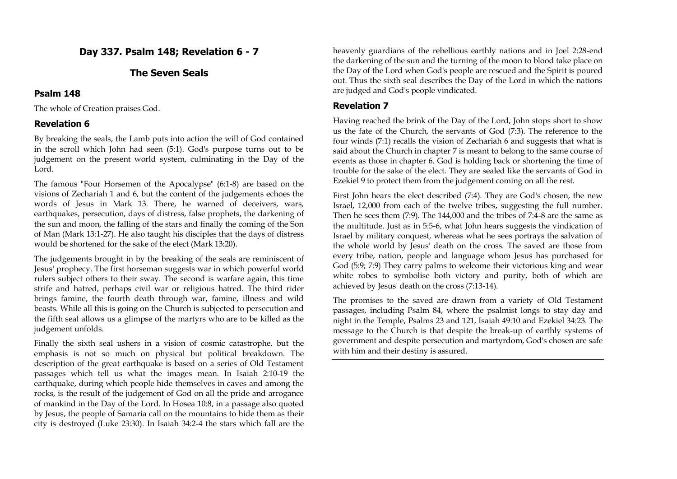# **Day 337. Psalm 148; Revelation 6 - 7**

## **The Seven Seals**

### **Psalm 148**

The whole of Creation praises God.

# **Revelation 6**

By breaking the seals, the Lamb puts into action the will of God contained in the scroll which John had seen (5:1). God's purpose turns out to be judgement on the present world system, culminating in the Day of the Lord.

The famous "Four Horsemen of the Apocalypse" (6:1-8) are based on the visions of Zechariah 1 and 6, but the content of the judgements echoes the words of Jesus in Mark 13. There, he warned of deceivers, wars, earthquakes, persecution, days of distress, false prophets, the darkening of the sun and moon, the falling of the stars and finally the coming of the Son of Man (Mark 13:1-27). He also taught his disciples that the days of distress would be shortened for the sake of the elect (Mark 13:20).

The judgements brought in by the breaking of the seals are reminiscent of Jesus' prophecy. The first horseman suggests war in which powerful world rulers subject others to their sway. The second is warfare again, this time strife and hatred, perhaps civil war or religious hatred. The third rider brings famine, the fourth death through war, famine, illness and wild beasts. While all this is going on the Church is subjected to persecution and the fifth seal allows us a glimpse of the martyrs who are to be killed as the judgement unfolds.

Finally the sixth seal ushers in a vision of cosmic catastrophe, but the emphasis is not so much on physical but political breakdown. The description of the great earthquake is based on a series of Old Testament passages which tell us what the images mean. In Isaiah 2:10-19 the earthquake, during which people hide themselves in caves and among the rocks, is the result of the judgement of God on all the pride and arrogance of mankind in the Day of the Lord. In Hosea 10:8, in a passage also quoted by Jesus, the people of Samaria call on the mountains to hide them as their city is destroyed (Luke 23:30). In Isaiah 34:2-4 the stars which fall are the

heavenly guardians of the rebellious earthly nations and in Joel 2:28-end the darkening of the sun and the turning of the moon to blood take place on the Day of the Lord when God's people are rescued and the Spirit is poured out. Thus the sixth seal describes the Day of the Lord in which the nations are judged and God's people vindicated.

### **Revelation 7**

Having reached the brink of the Day of the Lord, John stops short to show us the fate of the Church, the servants of God (7:3). The reference to the four winds (7:1) recalls the vision of Zechariah 6 and suggests that what is said about the Church in chapter 7 is meant to belong to the same course of events as those in chapter 6. God is holding back or shortening the time of trouble for the sake of the elect. They are sealed like the servants of God in Ezekiel 9 to protect them from the judgement coming on all the rest.

First John hears the elect described (7:4). They are God's chosen, the new Israel, 12,000 from each of the twelve tribes, suggesting the full number. Then he sees them (7:9). The 144,000 and the tribes of 7:4-8 are the same as the multitude. Just as in 5:5-6, what John hears suggests the vindication of Israel by military conquest, whereas what he sees portrays the salvation of the whole world by Jesus' death on the cross. The saved are those from every tribe, nation, people and language whom Jesus has purchased for God (5:9; 7:9) They carry palms to welcome their victorious king and wear white robes to symbolise both victory and purity, both of which are achieved by Jesus' death on the cross (7:13-14).

The promises to the saved are drawn from a variety of Old Testament passages, including Psalm 84, where the psalmist longs to stay day and night in the Temple, Psalms 23 and 121, Isaiah 49:10 and Ezekiel 34:23. The message to the Church is that despite the break-up of earthly systems of government and despite persecution and martyrdom, God's chosen are safe with him and their destiny is assured.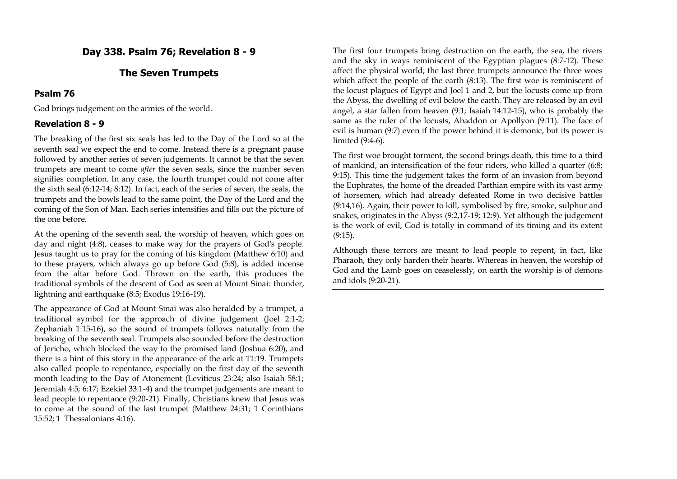## **Day 338. Psalm 76; Revelation 8 - 9**

### **The Seven Trumpets**

#### **Psalm 76**

God brings judgement on the armies of the world.

### **Revelation 8 - 9**

The breaking of the first six seals has led to the Day of the Lord so at the seventh seal we expect the end to come. Instead there is a pregnant pause followed by another series of seven judgements. It cannot be that the seven trumpets are meant to come *after* the seven seals, since the number seven signifies completion. In any case, the fourth trumpet could not come after the sixth seal (6:12-14; 8:12). In fact, each of the series of seven, the seals, the trumpets and the bowls lead to the same point, the Day of the Lord and the coming of the Son of Man. Each series intensifies and fills out the picture of the one before.

At the opening of the seventh seal, the worship of heaven, which goes on day and night (4:8), ceases to make way for the prayers of God's people. Jesus taught us to pray for the coming of his kingdom (Matthew 6:10) and to these prayers, which always go up before God (5:8), is added incense from the altar before God. Thrown on the earth, this produces the traditional symbols of the descent of God as seen at Mount Sinai: thunder, lightning and earthquake (8:5; Exodus 19:16-19).

The appearance of God at Mount Sinai was also heralded by a trumpet, a traditional symbol for the approach of divine judgement (Joel 2:1-2; Zephaniah 1:15-16), so the sound of trumpets follows naturally from the breaking of the seventh seal. Trumpets also sounded before the destruction of Jericho, which blocked the way to the promised land (Joshua 6:20), and there is a hint of this story in the appearance of the ark at 11:19. Trumpets also called people to repentance, especially on the first day of the seventh month leading to the Day of Atonement (Leviticus 23:24; also Isaiah 58:1; Jeremiah 4:5; 6:17; Ezekiel 33:1-4) and the trumpet judgements are meant to lead people to repentance (9:20-21). Finally, Christians knew that Jesus was to come at the sound of the last trumpet (Matthew 24:31; 1 Corinthians 15:52; 1 Thessalonians 4:16).

The first four trumpets bring destruction on the earth, the sea, the rivers and the sky in ways reminiscent of the Egyptian plagues (8:7-12). These affect the physical world; the last three trumpets announce the three woes which affect the people of the earth (8:13). The first woe is reminiscent of the locust plagues of Egypt and Joel 1 and 2, but the locusts come up from the Abyss, the dwelling of evil below the earth. They are released by an evil angel, a star fallen from heaven (9:1; Isaiah 14:12-15), who is probably the same as the ruler of the locusts, Abaddon or Apollyon (9:11). The face of evil is human (9:7) even if the power behind it is demonic, but its power is limited (9:4-6).

The first woe brought torment, the second brings death, this time to a third of mankind, an intensification of the four riders, who killed a quarter (6:8; 9:15). This time the judgement takes the form of an invasion from beyond the Euphrates, the home of the dreaded Parthian empire with its vast army of horsemen, which had already defeated Rome in two decisive battles (9:14,16). Again, their power to kill, symbolised by fire, smoke, sulphur and snakes, originates in the Abyss (9:2,17-19; 12:9). Yet although the judgement is the work of evil, God is totally in command of its timing and its extent (9:15).

Although these terrors are meant to lead people to repent, in fact, like Pharaoh, they only harden their hearts. Whereas in heaven, the worship of God and the Lamb goes on ceaselessly, on earth the worship is of demons and idols (9:20-21).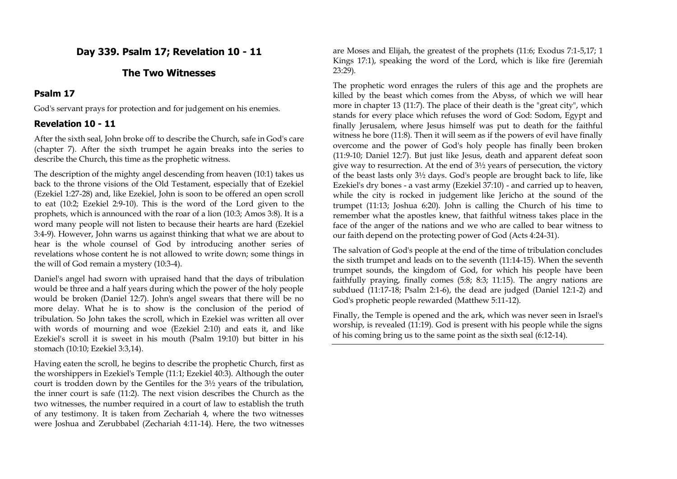## **Day 339. Psalm 17; Revelation 10 - 11**

### **The Two Witnesses**

### **Psalm 17**

God's servant prays for protection and for judgement on his enemies.

## **Revelation 10 - 11**

After the sixth seal, John broke off to describe the Church, safe in God's care (chapter 7). After the sixth trumpet he again breaks into the series to describe the Church, this time as the prophetic witness.

The description of the mighty angel descending from heaven (10:1) takes us back to the throne visions of the Old Testament, especially that of Ezekiel (Ezekiel 1:27-28) and, like Ezekiel, John is soon to be offered an open scroll to eat (10:2; Ezekiel 2:9-10). This is the word of the Lord given to the prophets, which is announced with the roar of a lion (10:3; Amos 3:8). It is a word many people will not listen to because their hearts are hard (Ezekiel 3:4-9). However, John warns us against thinking that what we are about to hear is the whole counsel of God by introducing another series of revelations whose content he is not allowed to write down; some things in the will of God remain a mystery (10:3-4).

Daniel's angel had sworn with upraised hand that the days of tribulation would be three and a half years during which the power of the holy people would be broken (Daniel 12:7). John's angel swears that there will be no more delay. What he is to show is the conclusion of the period of tribulation. So John takes the scroll, which in Ezekiel was written all over with words of mourning and woe (Ezekiel 2:10) and eats it, and like Ezekiel's scroll it is sweet in his mouth (Psalm 19:10) but bitter in his stomach (10:10; Ezekiel 3:3,14).

Having eaten the scroll, he begins to describe the prophetic Church, first as the worshippers in Ezekiel's Temple (11:1; Ezekiel 40:3). Although the outer court is trodden down by the Gentiles for the 3½ years of the tribulation, the inner court is safe (11:2). The next vision describes the Church as the two witnesses, the number required in a court of law to establish the truth of any testimony. It is taken from Zechariah 4, where the two witnesses were Joshua and Zerubbabel (Zechariah 4:11-14). Here, the two witnesses are Moses and Elijah, the greatest of the prophets (11:6; Exodus 7:1-5,17; 1 Kings 17:1), speaking the word of the Lord, which is like fire (Jeremiah 23:29).

The prophetic word enrages the rulers of this age and the prophets are killed by the beast which comes from the Abyss, of which we will hear more in chapter 13 (11:7). The place of their death is the "great city", which stands for every place which refuses the word of God: Sodom, Egypt and finally Jerusalem, where Jesus himself was put to death for the faithful witness he bore (11:8). Then it will seem as if the powers of evil have finally overcome and the power of God's holy people has finally been broken (11:9-10; Daniel 12:7). But just like Jesus, death and apparent defeat soon give way to resurrection. At the end of 3½ years of persecution, the victory of the beast lasts only 3½ days. God's people are brought back to life, like Ezekiel's dry bones - a vast army (Ezekiel 37:10) - and carried up to heaven, while the city is rocked in judgement like Jericho at the sound of the trumpet (11:13; Joshua 6:20). John is calling the Church of his time to remember what the apostles knew, that faithful witness takes place in the face of the anger of the nations and we who are called to bear witness to our faith depend on the protecting power of God (Acts 4:24-31).

The salvation of God's people at the end of the time of tribulation concludes the sixth trumpet and leads on to the seventh (11:14-15). When the seventh trumpet sounds, the kingdom of God, for which his people have been faithfully praying, finally comes (5:8; 8:3; 11:15). The angry nations are subdued (11:17-18; Psalm 2:1-6), the dead are judged (Daniel 12:1-2) and God's prophetic people rewarded (Matthew 5:11-12).

Finally, the Temple is opened and the ark, which was never seen in Israel's worship, is revealed (11:19). God is present with his people while the signs of his coming bring us to the same point as the sixth seal (6:12-14).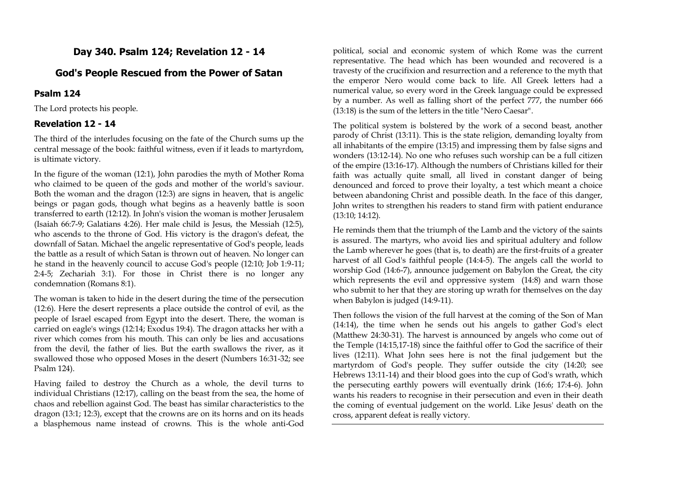# **Day 340. Psalm 124; Revelation 12 - 14**

### **God's People Rescued from the Power of Satan**

#### **Psalm 124**

The Lord protects his people.

#### **Revelation 12 - 14**

The third of the interludes focusing on the fate of the Church sums up the central message of the book: faithful witness, even if it leads to martyrdom, is ultimate victory.

In the figure of the woman (12:1), John parodies the myth of Mother Roma who claimed to be queen of the gods and mother of the world's saviour. Both the woman and the dragon (12:3) are signs in heaven, that is angelic beings or pagan gods, though what begins as a heavenly battle is soon transferred to earth (12:12). In John's vision the woman is mother Jerusalem (Isaiah 66:7-9; Galatians 4:26). Her male child is Jesus, the Messiah (12:5), who ascends to the throne of God. His victory is the dragon's defeat, the downfall of Satan. Michael the angelic representative of God's people, leads the battle as a result of which Satan is thrown out of heaven. No longer can he stand in the heavenly council to accuse God's people (12:10; Job 1:9-11; 2:4-5; Zechariah 3:1). For those in Christ there is no longer any condemnation (Romans 8:1).

The woman is taken to hide in the desert during the time of the persecution (12:6). Here the desert represents a place outside the control of evil, as the people of Israel escaped from Egypt into the desert. There, the woman is carried on eagle's wings (12:14; Exodus 19:4). The dragon attacks her with a river which comes from his mouth. This can only be lies and accusations from the devil, the father of lies. But the earth swallows the river, as it swallowed those who opposed Moses in the desert (Numbers 16:31-32; see Psalm 124).

Having failed to destroy the Church as a whole, the devil turns to individual Christians (12:17), calling on the beast from the sea, the home of chaos and rebellion against God. The beast has similar characteristics to the dragon (13:1; 12:3), except that the crowns are on its horns and on its heads a blasphemous name instead of crowns. This is the whole anti-God

political, social and economic system of which Rome was the current representative. The head which has been wounded and recovered is a travesty of the crucifixion and resurrection and a reference to the myth that the emperor Nero would come back to life. All Greek letters had a numerical value, so every word in the Greek language could be expressed by a number. As well as falling short of the perfect 777, the number 666 (13:18) is the sum of the letters in the title "Nero Caesar".

The political system is bolstered by the work of a second beast, another parody of Christ (13:11). This is the state religion, demanding loyalty from all inhabitants of the empire (13:15) and impressing them by false signs and wonders (13:12-14). No one who refuses such worship can be a full citizen of the empire (13:16-17). Although the numbers of Christians killed for their faith was actually quite small, all lived in constant danger of being denounced and forced to prove their loyalty, a test which meant a choice between abandoning Christ and possible death. In the face of this danger, John writes to strengthen his readers to stand firm with patient endurance (13:10; 14:12).

He reminds them that the triumph of the Lamb and the victory of the saints is assured. The martyrs, who avoid lies and spiritual adultery and follow the Lamb wherever he goes (that is, to death) are the first-fruits of a greater harvest of all God's faithful people (14:4-5). The angels call the world to worship God (14:6-7), announce judgement on Babylon the Great, the city which represents the evil and oppressive system (14:8) and warn those who submit to her that they are storing up wrath for themselves on the day when Babylon is judged (14:9-11).

Then follows the vision of the full harvest at the coming of the Son of Man (14:14), the time when he sends out his angels to gather God's elect (Matthew 24:30-31). The harvest is announced by angels who come out of the Temple (14:15,17-18) since the faithful offer to God the sacrifice of their lives (12:11). What John sees here is not the final judgement but the martyrdom of God's people. They suffer outside the city (14:20; see Hebrews 13:11-14) and their blood goes into the cup of God's wrath, which the persecuting earthly powers will eventually drink (16:6; 17:4-6). John wants his readers to recognise in their persecution and even in their death the coming of eventual judgement on the world. Like Jesus' death on the cross, apparent defeat is really victory.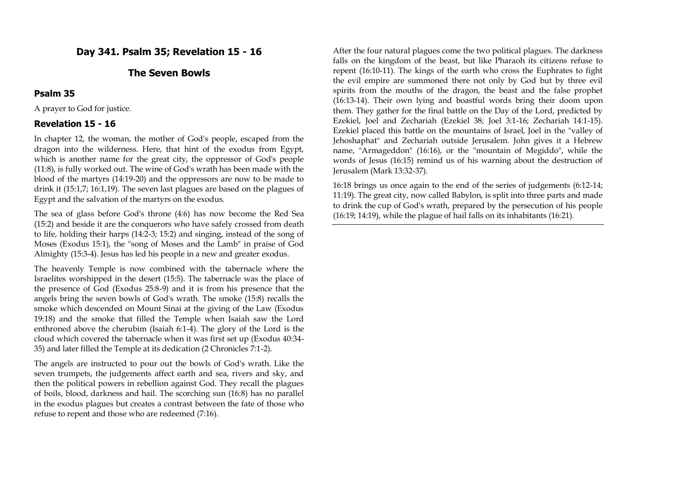## **Day 341. Psalm 35; Revelation 15 - 16**

### **The Seven Bowls**

### **Psalm 35**

A prayer to God for justice.

## **Revelation 15 - 16**

In chapter 12, the woman, the mother of God's people, escaped from the dragon into the wilderness. Here, that hint of the exodus from Egypt, which is another name for the great city, the oppressor of God's people (11:8), is fully worked out. The wine of God's wrath has been made with the blood of the martyrs (14:19-20) and the oppressors are now to be made to drink it (15:1,7; 16:1,19). The seven last plagues are based on the plagues of Egypt and the salvation of the martyrs on the exodus.

The sea of glass before God's throne (4:6) has now become the Red Sea (15:2) and beside it are the conquerors who have safely crossed from death to life, holding their harps (14:2-3; 15:2) and singing, instead of the song of Moses (Exodus 15:1), the "song of Moses and the Lamb" in praise of God Almighty (15:3-4). Jesus has led his people in a new and greater exodus.

The heavenly Temple is now combined with the tabernacle where the Israelites worshipped in the desert (15:5). The tabernacle was the place of the presence of God (Exodus 25:8-9) and it is from his presence that the angels bring the seven bowls of God's wrath. The smoke (15:8) recalls the smoke which descended on Mount Sinai at the giving of the Law (Exodus 19:18) and the smoke that filled the Temple when Isaiah saw the Lord enthroned above the cherubim (Isaiah 6:1-4). The glory of the Lord is the cloud which covered the tabernacle when it was first set up (Exodus 40:34- 35) and later filled the Temple at its dedication (2 Chronicles 7:1-2).

The angels are instructed to pour out the bowls of God's wrath. Like the seven trumpets, the judgements affect earth and sea, rivers and sky, and then the political powers in rebellion against God. They recall the plagues of boils, blood, darkness and hail. The scorching sun (16:8) has no parallel in the exodus plagues but creates a contrast between the fate of those who refuse to repent and those who are redeemed (7:16).

After the four natural plagues come the two political plagues. The darkness falls on the kingdom of the beast, but like Pharaoh its citizens refuse to repent (16:10-11). The kings of the earth who cross the Euphrates to fight the evil empire are summoned there not only by God but by three evil spirits from the mouths of the dragon, the beast and the false prophet (16:13-14). Their own lying and boastful words bring their doom upon them. They gather for the final battle on the Day of the Lord, predicted by Ezekiel, Joel and Zechariah (Ezekiel 38; Joel 3:1-16; Zechariah 14:1-15). Ezekiel placed this battle on the mountains of Israel, Joel in the "valley of Jehoshaphat" and Zechariah outside Jerusalem. John gives it a Hebrew name, "Armageddon" (16:16), or the "mountain of Megiddo", while the words of Jesus (16:15) remind us of his warning about the destruction of Jerusalem (Mark 13:32-37).

16:18 brings us once again to the end of the series of judgements (6:12-14; 11:19). The great city, now called Babylon, is split into three parts and made to drink the cup of God's wrath, prepared by the persecution of his people (16:19; 14:19), while the plague of hail falls on its inhabitants (16:21).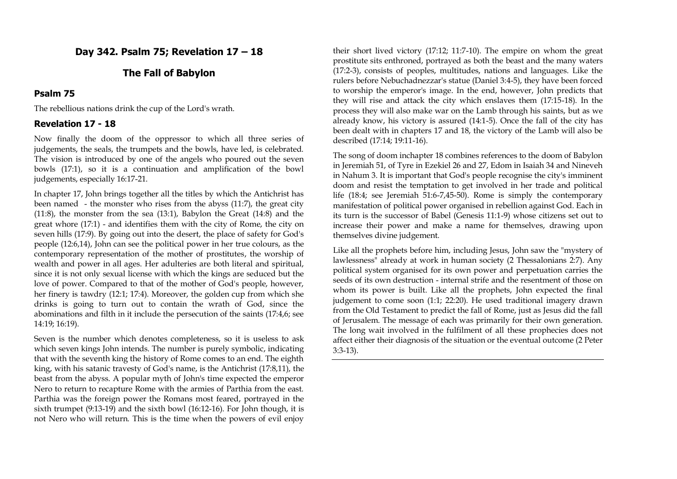## **Day 342. Psalm 75; Revelation 17 – 18**

### **The Fall of Babylon**

### **Psalm 75**

The rebellious nations drink the cup of the Lord's wrath.

#### **Revelation 17 - 18**

Now finally the doom of the oppressor to which all three series of judgements, the seals, the trumpets and the bowls, have led, is celebrated. The vision is introduced by one of the angels who poured out the seven bowls (17:1), so it is a continuation and amplification of the bowl judgements, especially 16:17-21.

In chapter 17, John brings together all the titles by which the Antichrist has been named - the monster who rises from the abyss (11:7), the great city (11:8), the monster from the sea (13:1), Babylon the Great (14:8) and the great whore (17:1) - and identifies them with the city of Rome, the city on seven hills (17:9). By going out into the desert, the place of safety for God's people (12:6,14), John can see the political power in her true colours, as the contemporary representation of the mother of prostitutes, the worship of wealth and power in all ages. Her adulteries are both literal and spiritual, since it is not only sexual license with which the kings are seduced but the love of power. Compared to that of the mother of God's people, however, her finery is tawdry (12:1; 17:4). Moreover, the golden cup from which she drinks is going to turn out to contain the wrath of God, since the abominations and filth in it include the persecution of the saints (17:4,6; see 14:19; 16:19).

Seven is the number which denotes completeness, so it is useless to ask which seven kings John intends. The number is purely symbolic, indicating that with the seventh king the history of Rome comes to an end. The eighth king, with his satanic travesty of God's name, is the Antichrist (17:8,11), the beast from the abyss. A popular myth of John's time expected the emperor Nero to return to recapture Rome with the armies of Parthia from the east. Parthia was the foreign power the Romans most feared, portrayed in the sixth trumpet (9:13-19) and the sixth bowl (16:12-16). For John though, it is not Nero who will return. This is the time when the powers of evil enjoy

their short lived victory (17:12; 11:7-10). The empire on whom the great prostitute sits enthroned, portrayed as both the beast and the many waters (17:2-3), consists of peoples, multitudes, nations and languages. Like the rulers before Nebuchadnezzar's statue (Daniel 3:4-5), they have been forced to worship the emperor's image. In the end, however, John predicts that they will rise and attack the city which enslaves them (17:15-18). In the process they will also make war on the Lamb through his saints, but as we already know, his victory is assured (14:1-5). Once the fall of the city has been dealt with in chapters 17 and 18, the victory of the Lamb will also be described (17:14; 19:11-16).

The song of doom inchapter 18 combines references to the doom of Babylon in Jeremiah 51, of Tyre in Ezekiel 26 and 27, Edom in Isaiah 34 and Nineveh in Nahum 3. It is important that God's people recognise the city's imminent doom and resist the temptation to get involved in her trade and political life (18:4; see Jeremiah 51:6-7,45-50). Rome is simply the contemporary manifestation of political power organised in rebellion against God. Each in its turn is the successor of Babel (Genesis 11:1-9) whose citizens set out to increase their power and make a name for themselves, drawing upon themselves divine judgement.

Like all the prophets before him, including Jesus, John saw the "mystery of lawlessness" already at work in human society (2 Thessalonians 2:7). Any political system organised for its own power and perpetuation carries the seeds of its own destruction - internal strife and the resentment of those on whom its power is built. Like all the prophets, John expected the final judgement to come soon (1:1; 22:20). He used traditional imagery drawn from the Old Testament to predict the fall of Rome, just as Jesus did the fall of Jerusalem. The message of each was primarily for their own generation. The long wait involved in the fulfilment of all these prophecies does not affect either their diagnosis of the situation or the eventual outcome (2 Peter 3:3-13).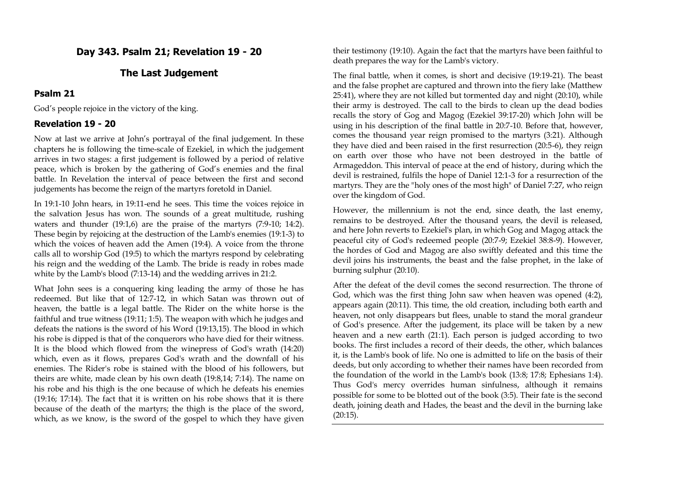## **Day 343. Psalm 21; Revelation 19 - 20**

### **The Last Judgement**

### **Psalm 21**

God's people rejoice in the victory of the king.

### **Revelation 19 - 20**

Now at last we arrive at John's portrayal of the final judgement. In these chapters he is following the time-scale of Ezekiel, in which the judgement arrives in two stages: a first judgement is followed by a period of relative peace, which is broken by the gathering of God's enemies and the final battle. In Revelation the interval of peace between the first and second judgements has become the reign of the martyrs foretold in Daniel.

In 19:1-10 John hears, in 19:11-end he sees. This time the voices rejoice in the salvation Jesus has won. The sounds of a great multitude, rushing waters and thunder (19:1,6) are the praise of the martyrs (7:9-10; 14:2). These begin by rejoicing at the destruction of the Lamb's enemies (19:1-3) to which the voices of heaven add the Amen (19:4). A voice from the throne calls all to worship God (19:5) to which the martyrs respond by celebrating his reign and the wedding of the Lamb. The bride is ready in robes made white by the Lamb's blood (7:13-14) and the wedding arrives in 21:2.

What John sees is a conquering king leading the army of those he has redeemed. But like that of 12:7-12, in which Satan was thrown out of heaven, the battle is a legal battle. The Rider on the white horse is the faithful and true witness (19:11; 1:5). The weapon with which he judges and defeats the nations is the sword of his Word (19:13,15). The blood in which his robe is dipped is that of the conquerors who have died for their witness. It is the blood which flowed from the winepress of God's wrath (14:20) which, even as it flows, prepares God's wrath and the downfall of his enemies. The Rider's robe is stained with the blood of his followers, but theirs are white, made clean by his own death (19:8,14; 7:14). The name on his robe and his thigh is the one because of which he defeats his enemies (19:16; 17:14). The fact that it is written on his robe shows that it is there because of the death of the martyrs; the thigh is the place of the sword, which, as we know, is the sword of the gospel to which they have given

their testimony (19:10). Again the fact that the martyrs have been faithful to death prepares the way for the Lamb's victory.

The final battle, when it comes, is short and decisive (19:19-21). The beast and the false prophet are captured and thrown into the fiery lake (Matthew 25:41), where they are not killed but tormented day and night (20:10), while their army is destroyed. The call to the birds to clean up the dead bodies recalls the story of Gog and Magog (Ezekiel 39:17-20) which John will be using in his description of the final battle in 20:7-10. Before that, however, comes the thousand year reign promised to the martyrs (3:21). Although they have died and been raised in the first resurrection (20:5-6), they reign on earth over those who have not been destroyed in the battle of Armageddon. This interval of peace at the end of history, during which the devil is restrained, fulfils the hope of Daniel 12:1-3 for a resurrection of the martyrs. They are the "holy ones of the most high" of Daniel 7:27, who reign over the kingdom of God.

However, the millennium is not the end, since death, the last enemy, remains to be destroyed. After the thousand years, the devil is released, and here John reverts to Ezekiel's plan, in which Gog and Magog attack the peaceful city of God's redeemed people (20:7-9; Ezekiel 38:8-9). However, the hordes of God and Magog are also swiftly defeated and this time the devil joins his instruments, the beast and the false prophet, in the lake of burning sulphur (20:10).

After the defeat of the devil comes the second resurrection. The throne of God, which was the first thing John saw when heaven was opened (4:2), appears again (20:11). This time, the old creation, including both earth and heaven, not only disappears but flees, unable to stand the moral grandeur of God's presence. After the judgement, its place will be taken by a new heaven and a new earth (21:1). Each person is judged according to two books. The first includes a record of their deeds, the other, which balances it, is the Lamb's book of life. No one is admitted to life on the basis of their deeds, but only according to whether their names have been recorded from the foundation of the world in the Lamb's book (13:8; 17:8; Ephesians 1:4). Thus God's mercy overrides human sinfulness, although it remains possible for some to be blotted out of the book (3:5). Their fate is the second death, joining death and Hades, the beast and the devil in the burning lake  $(20:15)$ .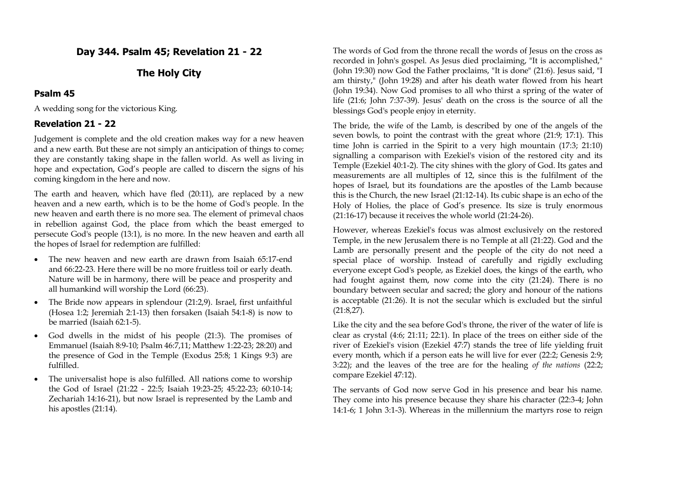# **Day 344. Psalm 45; Revelation 21 - 22**

## **The Holy City**

### **Psalm 45**

A wedding song for the victorious King.

## **Revelation 21 - 22**

Judgement is complete and the old creation makes way for a new heaven and a new earth. But these are not simply an anticipation of things to come; they are constantly taking shape in the fallen world. As well as living in hope and expectation, God's people are called to discern the signs of his coming kingdom in the here and now.

The earth and heaven, which have fled (20:11), are replaced by a new heaven and a new earth, which is to be the home of God's people. In the new heaven and earth there is no more sea. The element of primeval chaos in rebellion against God, the place from which the beast emerged to persecute God's people (13:1), is no more. In the new heaven and earth all the hopes of Israel for redemption are fulfilled:

- The new heaven and new earth are drawn from Isaiah 65:17-end and 66:22-23. Here there will be no more fruitless toil or early death. Nature will be in harmony, there will be peace and prosperity and all humankind will worship the Lord (66:23).
- The Bride now appears in splendour (21:2,9). Israel, first unfaithful (Hosea 1:2; Jeremiah 2:1-13) then forsaken (Isaiah 54:1-8) is now to be married (Isaiah 62:1-5).
- God dwells in the midst of his people (21:3). The promises of Emmanuel (Isaiah 8:9-10; Psalm 46:7,11; Matthew 1:22-23; 28:20) and the presence of God in the Temple (Exodus 25:8; 1 Kings 9:3) are fulfilled.
- The universalist hope is also fulfilled. All nations come to worship the God of Israel (21:22 - 22:5; Isaiah 19:23-25; 45:22-23; 60:10-14; Zechariah 14:16-21), but now Israel is represented by the Lamb and his apostles (21:14).

The words of God from the throne recall the words of Jesus on the cross as recorded in John's gospel. As Jesus died proclaiming, "It is accomplished," (John 19:30) now God the Father proclaims, "It is done" (21:6). Jesus said, "I am thirsty," (John 19:28) and after his death water flowed from his heart (John 19:34). Now God promises to all who thirst a spring of the water of life (21:6; John 7:37-39). Jesus' death on the cross is the source of all the blessings God's people enjoy in eternity.

The bride, the wife of the Lamb, is described by one of the angels of the seven bowls, to point the contrast with the great whore (21:9; 17:1). This time John is carried in the Spirit to a very high mountain (17:3; 21:10) signalling a comparison with Ezekiel's vision of the restored city and its Temple (Ezekiel 40:1-2). The city shines with the glory of God. Its gates and measurements are all multiples of 12, since this is the fulfilment of the hopes of Israel, but its foundations are the apostles of the Lamb because this is the Church, the new Israel (21:12-14). Its cubic shape is an echo of the Holy of Holies, the place of God's presence. Its size is truly enormous (21:16-17) because it receives the whole world (21:24-26).

However, whereas Ezekiel's focus was almost exclusively on the restored Temple, in the new Jerusalem there is no Temple at all (21:22). God and the Lamb are personally present and the people of the city do not need a special place of worship. Instead of carefully and rigidly excluding everyone except God's people, as Ezekiel does, the kings of the earth, who had fought against them, now come into the city (21:24). There is no boundary between secular and sacred; the glory and honour of the nations is acceptable (21:26). It is not the secular which is excluded but the sinful (21:8,27).

Like the city and the sea before God's throne, the river of the water of life is clear as crystal (4:6; 21:11; 22:1). In place of the trees on either side of the river of Ezekiel's vision (Ezekiel 47:7) stands the tree of life yielding fruit every month, which if a person eats he will live for ever (22:2; Genesis 2:9; 3:22); and the leaves of the tree are for the healing *of the nations* (22:2; compare Ezekiel 47:12).

The servants of God now serve God in his presence and bear his name. They come into his presence because they share his character (22:3-4; John 14:1-6; 1 John 3:1-3). Whereas in the millennium the martyrs rose to reign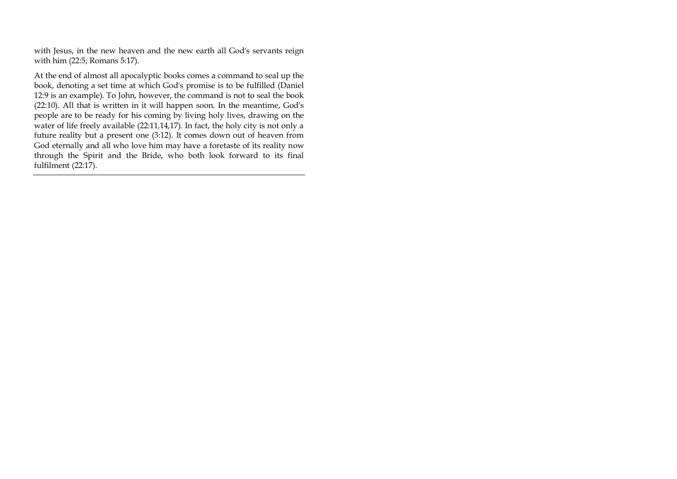with Jesus, in the new heaven and the new earth all God's servants reign with him (22:5; Romans 5:17).

At the end of almost all apocalyptic books comes a command to seal up the book, denoting a set time at which God's promise is to be fulfilled (Daniel 12:9 is an example). To John, however, the command is not to seal the book (22:10). All that is written in it will happen soon. In the meantime, God's people are to be ready for his coming by living holy lives, drawing on the water of life freely available (22:11,14,17). In fact, the holy city is not only a future reality but a present one (3:12). It comes down out of heaven from God eternally and all who love him may have a foretaste of its reality now through the Spirit and the Bride, who both look forward to its final fulfilment (22:17).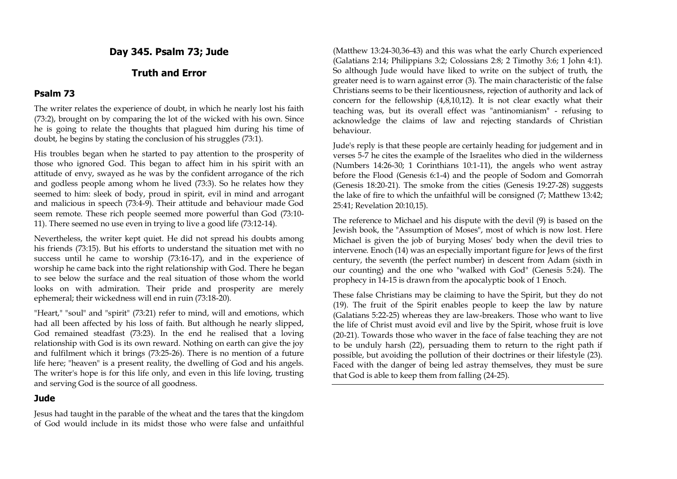**Day 345. Psalm 73; Jude**

# **Truth and Error**

#### **Psalm 73**

The writer relates the experience of doubt, in which he nearly lost his faith (73:2), brought on by comparing the lot of the wicked with his own. Since he is going to relate the thoughts that plagued him during his time of doubt, he begins by stating the conclusion of his struggles (73:1).

His troubles began when he started to pay attention to the prosperity of those who ignored God. This began to affect him in his spirit with an attitude of envy, swayed as he was by the confident arrogance of the rich and godless people among whom he lived (73:3). So he relates how they seemed to him: sleek of body, proud in spirit, evil in mind and arrogant and malicious in speech (73:4-9). Their attitude and behaviour made God seem remote. These rich people seemed more powerful than God (73:10- 11). There seemed no use even in trying to live a good life (73:12-14).

Nevertheless, the writer kept quiet. He did not spread his doubts among his friends (73:15). But his efforts to understand the situation met with no success until he came to worship (73:16-17), and in the experience of worship he came back into the right relationship with God. There he began to see below the surface and the real situation of those whom the world looks on with admiration. Their pride and prosperity are merely ephemeral; their wickedness will end in ruin (73:18-20).

"Heart," "soul" and "spirit" (73:21) refer to mind, will and emotions, which had all been affected by his loss of faith. But although he nearly slipped, God remained steadfast (73:23). In the end he realised that a loving relationship with God is its own reward. Nothing on earth can give the joy and fulfilment which it brings (73:25-26). There is no mention of a future life here; "heaven" is a present reality, the dwelling of God and his angels. The writer's hope is for this life only, and even in this life loving, trusting and serving God is the source of all goodness.

#### **Jude**

Jesus had taught in the parable of the wheat and the tares that the kingdom of God would include in its midst those who were false and unfaithful

(Matthew 13:24-30,36-43) and this was what the early Church experienced (Galatians 2:14; Philippians 3:2; Colossians 2:8; 2 Timothy 3:6; 1 John 4:1). So although Jude would have liked to write on the subject of truth, the greater need is to warn against error (3). The main characteristic of the false Christians seems to be their licentiousness, rejection of authority and lack of concern for the fellowship (4,8,10,12). It is not clear exactly what their teaching was, but its overall effect was "antinomianism" - refusing to acknowledge the claims of law and rejecting standards of Christian behaviour.

Jude's reply is that these people are certainly heading for judgement and in verses 5-7 he cites the example of the Israelites who died in the wilderness (Numbers 14:26-30; 1 Corinthians 10:1-11), the angels who went astray before the Flood (Genesis 6:1-4) and the people of Sodom and Gomorrah (Genesis 18:20-21). The smoke from the cities (Genesis 19:27-28) suggests the lake of fire to which the unfaithful will be consigned (7; Matthew 13:42; 25:41; Revelation 20:10,15).

The reference to Michael and his dispute with the devil (9) is based on the Jewish book, the "Assumption of Moses", most of which is now lost. Here Michael is given the job of burying Moses' body when the devil tries to intervene. Enoch (14) was an especially important figure for Jews of the first century, the seventh (the perfect number) in descent from Adam (sixth in our counting) and the one who "walked with God" (Genesis 5:24). The prophecy in 14-15 is drawn from the apocalyptic book of 1 Enoch.

These false Christians may be claiming to have the Spirit, but they do not (19). The fruit of the Spirit enables people to keep the law by nature (Galatians 5:22-25) whereas they are law-breakers. Those who want to live the life of Christ must avoid evil and live by the Spirit, whose fruit is love (20-21). Towards those who waver in the face of false teaching they are not to be unduly harsh (22), persuading them to return to the right path if possible, but avoiding the pollution of their doctrines or their lifestyle (23). Faced with the danger of being led astray themselves, they must be sure that God is able to keep them from falling (24-25).